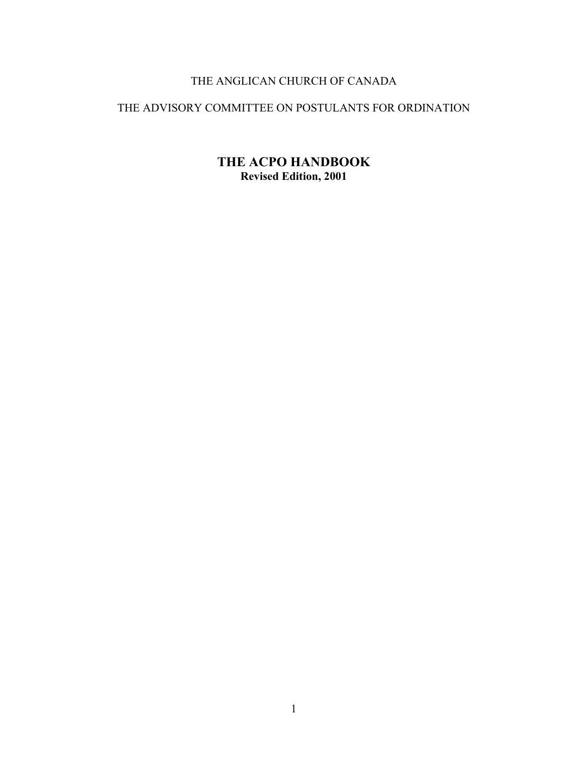# THE ANGLICAN CHURCH OF CANADA

### THE ADVISORY COMMITTEE ON POSTULANTS FOR ORDINATION

**THE ACPO HANDBOOK Revised Edition, 2001**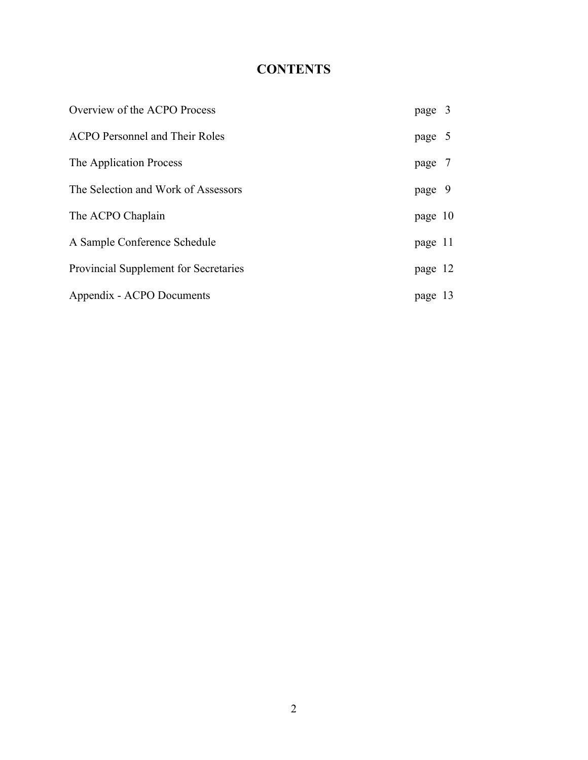# **CONTENTS**

| Overview of the ACPO Process          | page 3  |  |
|---------------------------------------|---------|--|
| <b>ACPO Personnel and Their Roles</b> | page 5  |  |
| The Application Process               | page 7  |  |
| The Selection and Work of Assessors   | page 9  |  |
| The ACPO Chaplain                     | page 10 |  |
| A Sample Conference Schedule          | page 11 |  |
| Provincial Supplement for Secretaries | page 12 |  |
| Appendix - ACPO Documents             | page 13 |  |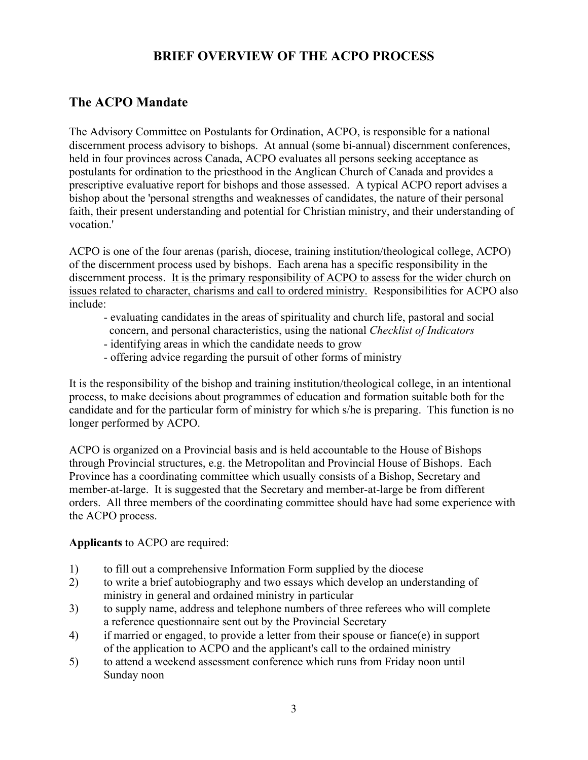# **BRIEF OVERVIEW OF THE ACPO PROCESS**

# **The ACPO Mandate**

The Advisory Committee on Postulants for Ordination, ACPO, is responsible for a national discernment process advisory to bishops. At annual (some bi-annual) discernment conferences, held in four provinces across Canada, ACPO evaluates all persons seeking acceptance as postulants for ordination to the priesthood in the Anglican Church of Canada and provides a prescriptive evaluative report for bishops and those assessed. A typical ACPO report advises a bishop about the 'personal strengths and weaknesses of candidates, the nature of their personal faith, their present understanding and potential for Christian ministry, and their understanding of vocation.'

ACPO is one of the four arenas (parish, diocese, training institution/theological college, ACPO) of the discernment process used by bishops. Each arena has a specific responsibility in the discernment process. It is the primary responsibility of ACPO to assess for the wider church on issues related to character, charisms and call to ordered ministry. Responsibilities for ACPO also include:

- evaluating candidates in the areas of spirituality and church life, pastoral and social concern, and personal characteristics, using the national *Checklist of Indicators*
- identifying areas in which the candidate needs to grow
- offering advice regarding the pursuit of other forms of ministry

It is the responsibility of the bishop and training institution/theological college, in an intentional process, to make decisions about programmes of education and formation suitable both for the candidate and for the particular form of ministry for which s/he is preparing. This function is no longer performed by ACPO.

ACPO is organized on a Provincial basis and is held accountable to the House of Bishops through Provincial structures, e.g. the Metropolitan and Provincial House of Bishops. Each Province has a coordinating committee which usually consists of a Bishop, Secretary and member-at-large. It is suggested that the Secretary and member-at-large be from different orders. All three members of the coordinating committee should have had some experience with the ACPO process.

#### **Applicants** to ACPO are required:

- 1) to fill out a comprehensive Information Form supplied by the diocese
- 2) to write a brief autobiography and two essays which develop an understanding of ministry in general and ordained ministry in particular
- 3) to supply name, address and telephone numbers of three referees who will complete a reference questionnaire sent out by the Provincial Secretary
- 4) if married or engaged, to provide a letter from their spouse or fiance(e) in support of the application to ACPO and the applicant's call to the ordained ministry
- 5) to attend a weekend assessment conference which runs from Friday noon until Sunday noon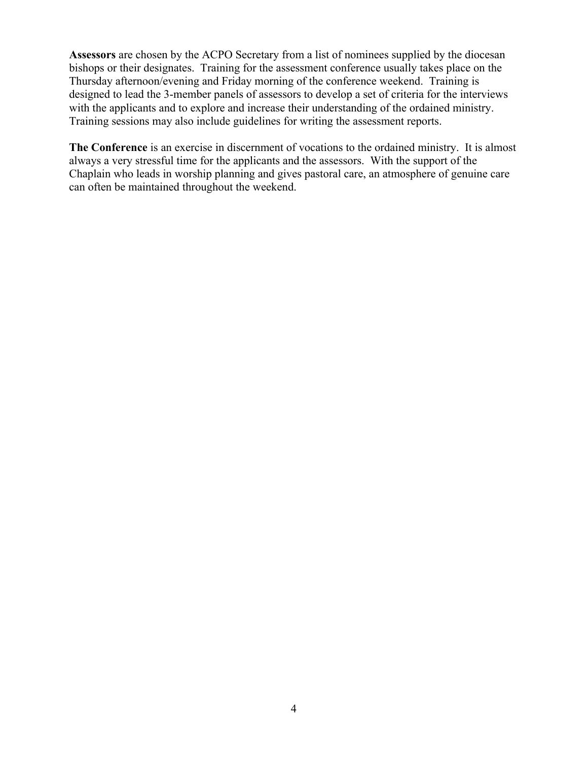**Assessors** are chosen by the ACPO Secretary from a list of nominees supplied by the diocesan bishops or their designates. Training for the assessment conference usually takes place on the Thursday afternoon/evening and Friday morning of the conference weekend. Training is designed to lead the 3-member panels of assessors to develop a set of criteria for the interviews with the applicants and to explore and increase their understanding of the ordained ministry. Training sessions may also include guidelines for writing the assessment reports.

**The Conference** is an exercise in discernment of vocations to the ordained ministry. It is almost always a very stressful time for the applicants and the assessors. With the support of the Chaplain who leads in worship planning and gives pastoral care, an atmosphere of genuine care can often be maintained throughout the weekend.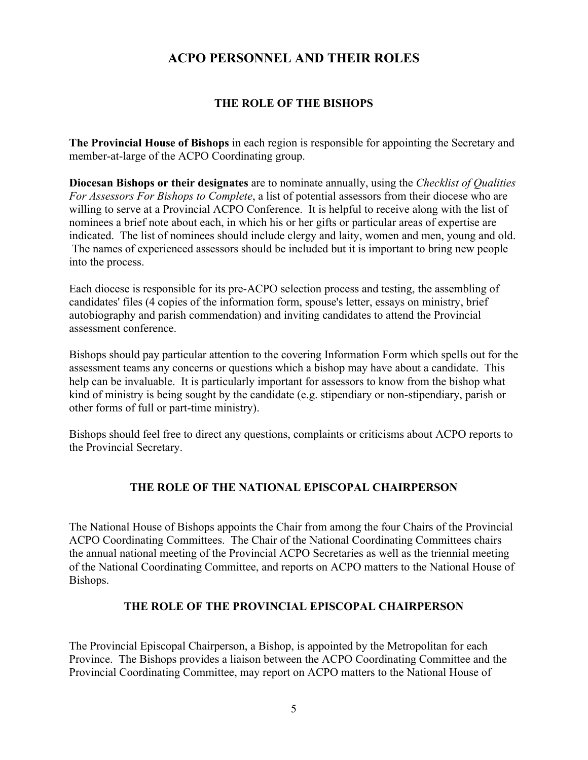### **ACPO PERSONNEL AND THEIR ROLES**

#### **THE ROLE OF THE BISHOPS**

**The Provincial House of Bishops** in each region is responsible for appointing the Secretary and member-at-large of the ACPO Coordinating group.

**Diocesan Bishops or their designates** are to nominate annually, using the *Checklist of Qualities For Assessors For Bishops to Complete*, a list of potential assessors from their diocese who are willing to serve at a Provincial ACPO Conference. It is helpful to receive along with the list of nominees a brief note about each, in which his or her gifts or particular areas of expertise are indicated. The list of nominees should include clergy and laity, women and men, young and old. The names of experienced assessors should be included but it is important to bring new people into the process.

Each diocese is responsible for its pre-ACPO selection process and testing, the assembling of candidates' files (4 copies of the information form, spouse's letter, essays on ministry, brief autobiography and parish commendation) and inviting candidates to attend the Provincial assessment conference.

Bishops should pay particular attention to the covering Information Form which spells out for the assessment teams any concerns or questions which a bishop may have about a candidate. This help can be invaluable. It is particularly important for assessors to know from the bishop what kind of ministry is being sought by the candidate (e.g. stipendiary or non-stipendiary, parish or other forms of full or part-time ministry).

Bishops should feel free to direct any questions, complaints or criticisms about ACPO reports to the Provincial Secretary.

#### **THE ROLE OF THE NATIONAL EPISCOPAL CHAIRPERSON**

The National House of Bishops appoints the Chair from among the four Chairs of the Provincial ACPO Coordinating Committees. The Chair of the National Coordinating Committees chairs the annual national meeting of the Provincial ACPO Secretaries as well as the triennial meeting of the National Coordinating Committee, and reports on ACPO matters to the National House of Bishops.

#### **THE ROLE OF THE PROVINCIAL EPISCOPAL CHAIRPERSON**

The Provincial Episcopal Chairperson, a Bishop, is appointed by the Metropolitan for each Province. The Bishops provides a liaison between the ACPO Coordinating Committee and the Provincial Coordinating Committee, may report on ACPO matters to the National House of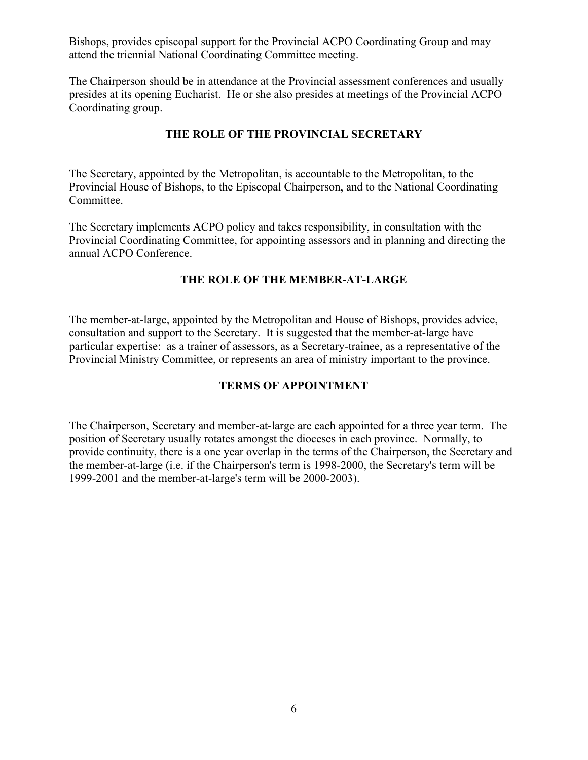Bishops, provides episcopal support for the Provincial ACPO Coordinating Group and may attend the triennial National Coordinating Committee meeting.

The Chairperson should be in attendance at the Provincial assessment conferences and usually presides at its opening Eucharist. He or she also presides at meetings of the Provincial ACPO Coordinating group.

#### **THE ROLE OF THE PROVINCIAL SECRETARY**

The Secretary, appointed by the Metropolitan, is accountable to the Metropolitan, to the Provincial House of Bishops, to the Episcopal Chairperson, and to the National Coordinating Committee.

The Secretary implements ACPO policy and takes responsibility, in consultation with the Provincial Coordinating Committee, for appointing assessors and in planning and directing the annual ACPO Conference.

#### **THE ROLE OF THE MEMBER-AT-LARGE**

The member-at-large, appointed by the Metropolitan and House of Bishops, provides advice, consultation and support to the Secretary. It is suggested that the member-at-large have particular expertise: as a trainer of assessors, as a Secretary-trainee, as a representative of the Provincial Ministry Committee, or represents an area of ministry important to the province.

#### **TERMS OF APPOINTMENT**

The Chairperson, Secretary and member-at-large are each appointed for a three year term. The position of Secretary usually rotates amongst the dioceses in each province. Normally, to provide continuity, there is a one year overlap in the terms of the Chairperson, the Secretary and the member-at-large (i.e. if the Chairperson's term is 1998-2000, the Secretary's term will be 1999-2001 and the member-at-large's term will be 2000-2003).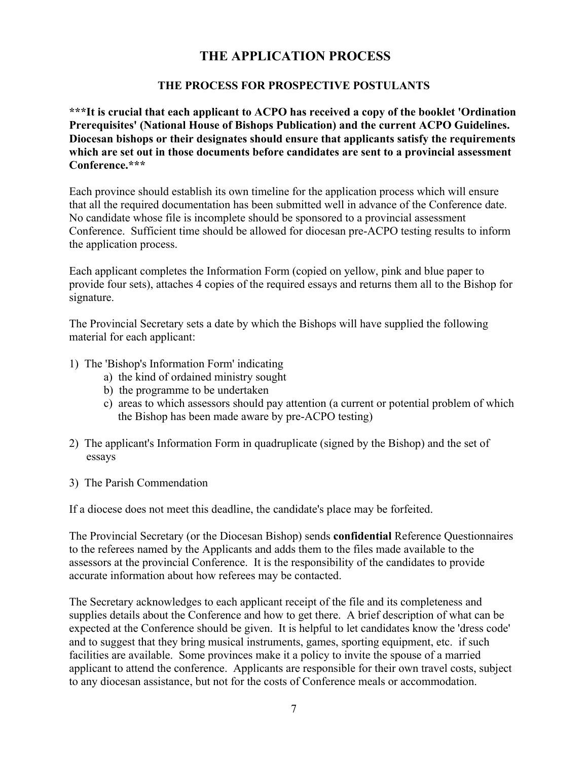### **THE APPLICATION PROCESS**

#### **THE PROCESS FOR PROSPECTIVE POSTULANTS**

**\*\*\*It is crucial that each applicant to ACPO has received a copy of the booklet 'Ordination Prerequisites' (National House of Bishops Publication) and the current ACPO Guidelines. Diocesan bishops or their designates should ensure that applicants satisfy the requirements which are set out in those documents before candidates are sent to a provincial assessment Conference.\*\*\***

Each province should establish its own timeline for the application process which will ensure that all the required documentation has been submitted well in advance of the Conference date. No candidate whose file is incomplete should be sponsored to a provincial assessment Conference. Sufficient time should be allowed for diocesan pre-ACPO testing results to inform the application process.

Each applicant completes the Information Form (copied on yellow, pink and blue paper to provide four sets), attaches 4 copies of the required essays and returns them all to the Bishop for signature.

The Provincial Secretary sets a date by which the Bishops will have supplied the following material for each applicant:

- 1) The 'Bishop's Information Form' indicating
	- a) the kind of ordained ministry sought
	- b) the programme to be undertaken
	- c) areas to which assessors should pay attention (a current or potential problem of which the Bishop has been made aware by pre-ACPO testing)
- 2) The applicant's Information Form in quadruplicate (signed by the Bishop) and the set of essays
- 3) The Parish Commendation

If a diocese does not meet this deadline, the candidate's place may be forfeited.

The Provincial Secretary (or the Diocesan Bishop) sends **confidential** Reference Questionnaires to the referees named by the Applicants and adds them to the files made available to the assessors at the provincial Conference. It is the responsibility of the candidates to provide accurate information about how referees may be contacted.

The Secretary acknowledges to each applicant receipt of the file and its completeness and supplies details about the Conference and how to get there. A brief description of what can be expected at the Conference should be given. It is helpful to let candidates know the 'dress code' and to suggest that they bring musical instruments, games, sporting equipment, etc. if such facilities are available. Some provinces make it a policy to invite the spouse of a married applicant to attend the conference. Applicants are responsible for their own travel costs, subject to any diocesan assistance, but not for the costs of Conference meals or accommodation.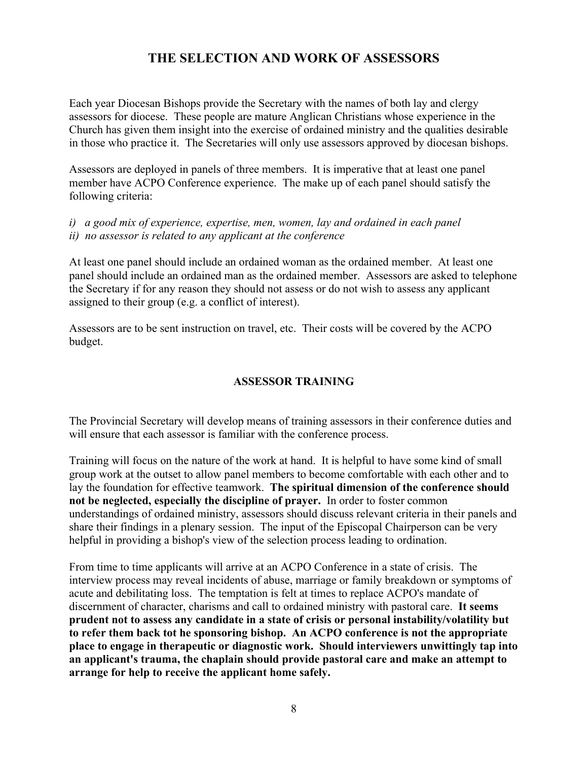# **THE SELECTION AND WORK OF ASSESSORS**

Each year Diocesan Bishops provide the Secretary with the names of both lay and clergy assessors for diocese. These people are mature Anglican Christians whose experience in the Church has given them insight into the exercise of ordained ministry and the qualities desirable in those who practice it. The Secretaries will only use assessors approved by diocesan bishops.

Assessors are deployed in panels of three members. It is imperative that at least one panel member have ACPO Conference experience. The make up of each panel should satisfy the following criteria:

*i) a good mix of experience, expertise, men, women, lay and ordained in each panel ii) no assessor is related to any applicant at the conference*

At least one panel should include an ordained woman as the ordained member. At least one panel should include an ordained man as the ordained member. Assessors are asked to telephone the Secretary if for any reason they should not assess or do not wish to assess any applicant assigned to their group (e.g. a conflict of interest).

Assessors are to be sent instruction on travel, etc. Their costs will be covered by the ACPO budget.

#### **ASSESSOR TRAINING**

The Provincial Secretary will develop means of training assessors in their conference duties and will ensure that each assessor is familiar with the conference process.

Training will focus on the nature of the work at hand. It is helpful to have some kind of small group work at the outset to allow panel members to become comfortable with each other and to lay the foundation for effective teamwork. **The spiritual dimension of the conference should not be neglected, especially the discipline of prayer.** In order to foster common understandings of ordained ministry, assessors should discuss relevant criteria in their panels and share their findings in a plenary session. The input of the Episcopal Chairperson can be very helpful in providing a bishop's view of the selection process leading to ordination.

From time to time applicants will arrive at an ACPO Conference in a state of crisis. The interview process may reveal incidents of abuse, marriage or family breakdown or symptoms of acute and debilitating loss. The temptation is felt at times to replace ACPO's mandate of discernment of character, charisms and call to ordained ministry with pastoral care. **It seems prudent not to assess any candidate in a state of crisis or personal instability/volatility but to refer them back tot he sponsoring bishop. An ACPO conference is not the appropriate place to engage in therapeutic or diagnostic work. Should interviewers unwittingly tap into an applicant's trauma, the chaplain should provide pastoral care and make an attempt to arrange for help to receive the applicant home safely.**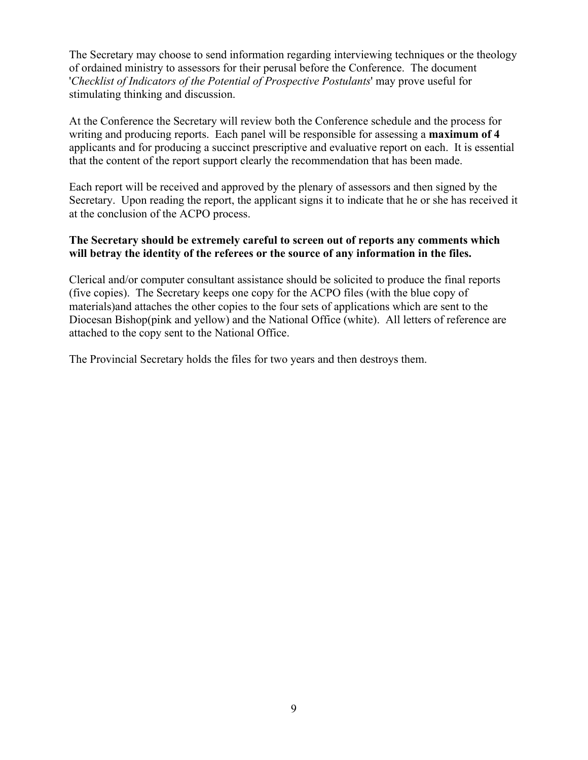The Secretary may choose to send information regarding interviewing techniques or the theology of ordained ministry to assessors for their perusal before the Conference. The document '*Checklist of Indicators of the Potential of Prospective Postulants*' may prove useful for stimulating thinking and discussion.

At the Conference the Secretary will review both the Conference schedule and the process for writing and producing reports. Each panel will be responsible for assessing a **maximum of 4**  applicants and for producing a succinct prescriptive and evaluative report on each. It is essential that the content of the report support clearly the recommendation that has been made.

Each report will be received and approved by the plenary of assessors and then signed by the Secretary. Upon reading the report, the applicant signs it to indicate that he or she has received it at the conclusion of the ACPO process.

#### **The Secretary should be extremely careful to screen out of reports any comments which will betray the identity of the referees or the source of any information in the files.**

Clerical and/or computer consultant assistance should be solicited to produce the final reports (five copies). The Secretary keeps one copy for the ACPO files (with the blue copy of materials)and attaches the other copies to the four sets of applications which are sent to the Diocesan Bishop(pink and yellow) and the National Office (white). All letters of reference are attached to the copy sent to the National Office.

The Provincial Secretary holds the files for two years and then destroys them.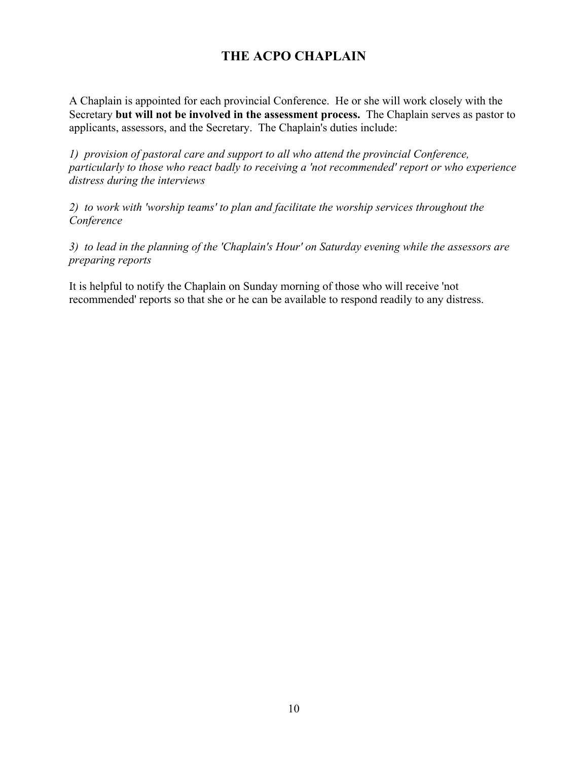# **THE ACPO CHAPLAIN**

A Chaplain is appointed for each provincial Conference. He or she will work closely with the Secretary **but will not be involved in the assessment process.** The Chaplain serves as pastor to applicants, assessors, and the Secretary. The Chaplain's duties include:

*1) provision of pastoral care and support to all who attend the provincial Conference, particularly to those who react badly to receiving a 'not recommended' report or who experience distress during the interviews*

*2) to work with 'worship teams' to plan and facilitate the worship services throughout the Conference*

*3) to lead in the planning of the 'Chaplain's Hour' on Saturday evening while the assessors are preparing reports*

It is helpful to notify the Chaplain on Sunday morning of those who will receive 'not recommended' reports so that she or he can be available to respond readily to any distress.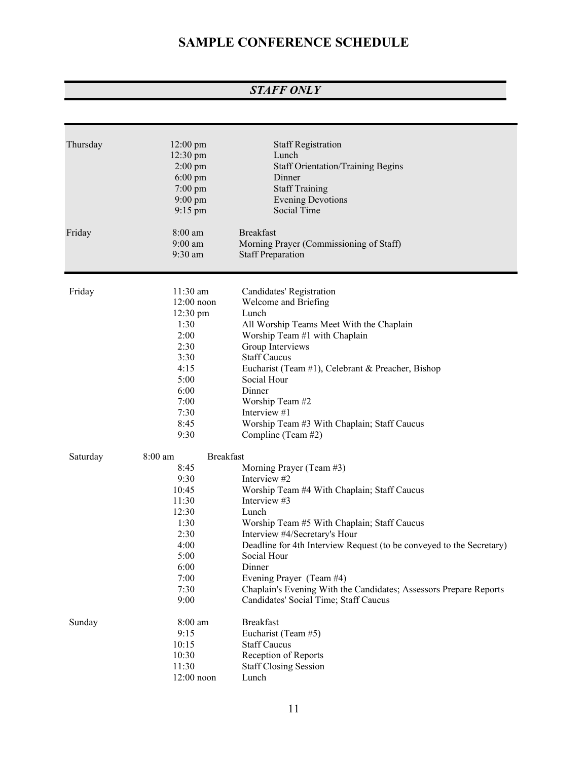# **SAMPLE CONFERENCE SCHEDULE**

## *STAFF ONLY*

| Thursday<br>Friday | $12:00 \text{ pm}$<br>12:30 pm<br>$2:00$ pm<br>$6:00 \text{ pm}$<br>$7:00$ pm<br>$9:00 \text{ pm}$<br>$9:15$ pm<br>$8:00$ am<br>$9:00$ am | <b>Staff Registration</b><br>Lunch<br><b>Staff Orientation/Training Begins</b><br>Dinner<br><b>Staff Training</b><br><b>Evening Devotions</b><br>Social Time<br><b>Breakfast</b><br>Morning Prayer (Commissioning of Staff) |
|--------------------|-------------------------------------------------------------------------------------------------------------------------------------------|-----------------------------------------------------------------------------------------------------------------------------------------------------------------------------------------------------------------------------|
|                    | 9:30 am                                                                                                                                   | <b>Staff Preparation</b>                                                                                                                                                                                                    |
|                    |                                                                                                                                           |                                                                                                                                                                                                                             |
| Friday             | 11:30 am                                                                                                                                  | Candidates' Registration                                                                                                                                                                                                    |
|                    | $12:00$ noon                                                                                                                              | Welcome and Briefing                                                                                                                                                                                                        |
|                    | $12:30 \text{ pm}$                                                                                                                        | Lunch                                                                                                                                                                                                                       |
|                    | 1:30                                                                                                                                      | All Worship Teams Meet With the Chaplain                                                                                                                                                                                    |
|                    | 2:00                                                                                                                                      | Worship Team #1 with Chaplain                                                                                                                                                                                               |
|                    | 2:30                                                                                                                                      | Group Interviews                                                                                                                                                                                                            |
|                    | 3:30                                                                                                                                      | <b>Staff Caucus</b>                                                                                                                                                                                                         |
|                    | 4:15                                                                                                                                      | Eucharist (Team #1), Celebrant & Preacher, Bishop                                                                                                                                                                           |
|                    | 5:00                                                                                                                                      | Social Hour                                                                                                                                                                                                                 |
|                    | 6:00                                                                                                                                      | Dinner                                                                                                                                                                                                                      |
|                    | 7:00                                                                                                                                      | Worship Team #2                                                                                                                                                                                                             |
|                    | 7:30                                                                                                                                      | Interview #1                                                                                                                                                                                                                |
|                    | 8:45                                                                                                                                      | Worship Team #3 With Chaplain; Staff Caucus                                                                                                                                                                                 |
|                    | 9:30                                                                                                                                      | Compline (Team #2)                                                                                                                                                                                                          |
| Saturday           | <b>Breakfast</b><br>$8:00$ am                                                                                                             |                                                                                                                                                                                                                             |
|                    | 8:45                                                                                                                                      | Morning Prayer (Team #3)                                                                                                                                                                                                    |
|                    | 9:30                                                                                                                                      | Interview #2                                                                                                                                                                                                                |
|                    | 10:45                                                                                                                                     | Worship Team #4 With Chaplain; Staff Caucus                                                                                                                                                                                 |
|                    | 11:30                                                                                                                                     | Interview #3                                                                                                                                                                                                                |
|                    | 12:30                                                                                                                                     | Lunch                                                                                                                                                                                                                       |
|                    | 1:30                                                                                                                                      | Worship Team #5 With Chaplain; Staff Caucus                                                                                                                                                                                 |
|                    | 2:30                                                                                                                                      | Interview #4/Secretary's Hour                                                                                                                                                                                               |
|                    | 4:00                                                                                                                                      | Deadline for 4th Interview Request (to be conveyed to the Secretary)                                                                                                                                                        |
|                    | 5:00                                                                                                                                      | Social Hour                                                                                                                                                                                                                 |
|                    | 6:00                                                                                                                                      | Dinner                                                                                                                                                                                                                      |
|                    | 7:00                                                                                                                                      | Evening Prayer (Team #4)                                                                                                                                                                                                    |
|                    | 7:30                                                                                                                                      | Chaplain's Evening With the Candidates; Assessors Prepare Reports                                                                                                                                                           |
|                    | 9:00                                                                                                                                      | Candidates' Social Time; Staff Caucus                                                                                                                                                                                       |
| Sunday             | 8:00 am                                                                                                                                   | <b>Breakfast</b>                                                                                                                                                                                                            |
|                    | 9:15                                                                                                                                      | Eucharist (Team #5)                                                                                                                                                                                                         |
|                    | 10:15                                                                                                                                     | <b>Staff Caucus</b>                                                                                                                                                                                                         |
|                    | 10:30                                                                                                                                     | Reception of Reports                                                                                                                                                                                                        |
|                    | 11:30                                                                                                                                     | <b>Staff Closing Session</b>                                                                                                                                                                                                |
|                    | $12:00$ noon                                                                                                                              | Lunch                                                                                                                                                                                                                       |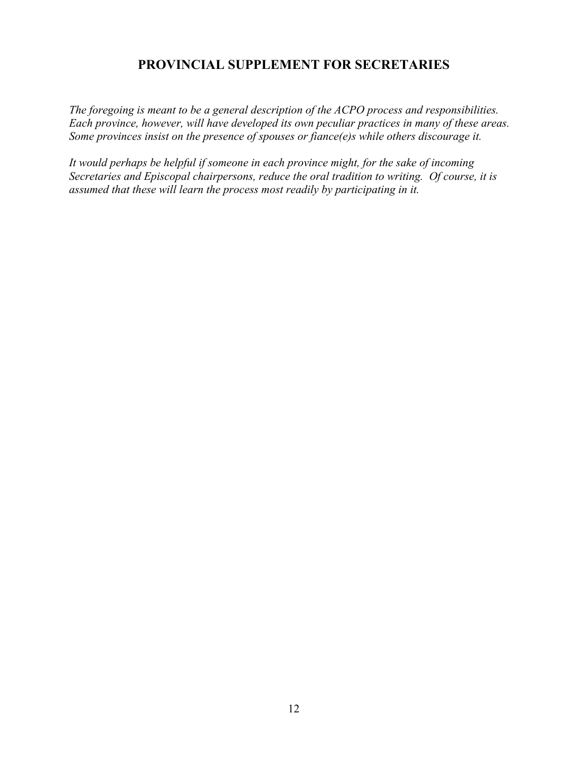# **PROVINCIAL SUPPLEMENT FOR SECRETARIES**

*The foregoing is meant to be a general description of the ACPO process and responsibilities. Each province, however, will have developed its own peculiar practices in many of these areas. Some provinces insist on the presence of spouses or fiance(e)s while others discourage it.*

*It would perhaps be helpful if someone in each province might, for the sake of incoming Secretaries and Episcopal chairpersons, reduce the oral tradition to writing. Of course, it is assumed that these will learn the process most readily by participating in it.*